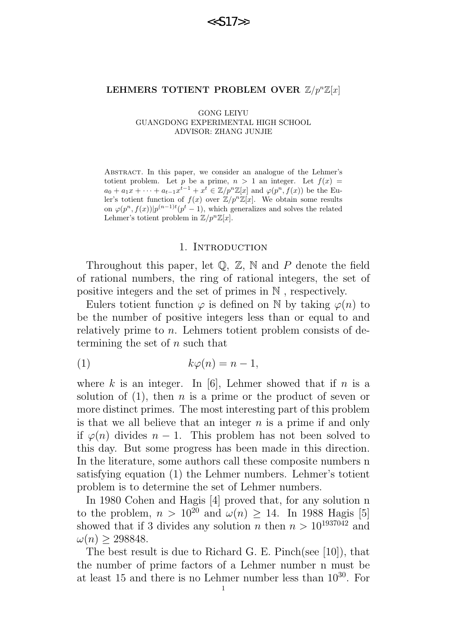#### LEHMERS TOTIENT PROBLEM OVER  $\mathbb{Z}/p^{n}\mathbb{Z}[x]$

GONG LEIYU GUANGDONG EXPERIMENTAL HIGH SCHOOL ADVISOR: ZHANG JUNJIE

Abstract. In this paper, we consider an analogue of the Lehmer's totient problem. Let p be a prime,  $n > 1$  an integer. Let  $f(x) =$  $a_0 + a_1x + \cdots + a_{t-1}x^{t-1} + x^t \in \mathbb{Z}/p^n\mathbb{Z}[x]$  and  $\varphi(p^n, f(x))$  be the Euler's totient function of  $f(x)$  over  $\mathbb{Z}/p^n\mathbb{Z}[x]$ . We obtain some results on  $\varphi(p^n, f(x))|p^{(n-1)t}(p^t-1)$ , which generalizes and solves the related Lehmer's totient problem in  $\mathbb{Z}/p^n\mathbb{Z}[x]$ .

#### 1. INTRODUCTION

Throughout this paper, let  $\mathbb{Q}, \mathbb{Z}, \mathbb{N}$  and P denote the field of rational numbers, the ring of rational integers, the set of positive integers and the set of primes in N , respectively.

Eulers totient function  $\varphi$  is defined on N by taking  $\varphi(n)$  to be the number of positive integers less than or equal to and relatively prime to *n*. Lehmers totient problem consists of determining the set of  $n$  such that

$$
(1) \t\t k\varphi(n) = n - 1,
$$

where k is an integer. In [6], Lehmer showed that if n is a solution of  $(1)$ , then *n* is a prime or the product of seven or more distinct primes. The most interesting part of this problem is that we all believe that an integer  $n$  is a prime if and only if  $\varphi(n)$  divides  $n-1$ . This problem has not been solved to this day. But some progress has been made in this direction. In the literature, some authors call these composite numbers n satisfying equation (1) the Lehmer numbers. Lehmer's totient problem is to determine the set of Lehmer numbers.

In 1980 Cohen and Hagis [4] proved that, for any solution n to the problem,  $n > 10^{20}$  and  $\omega(n) \geq 14$ . In 1988 Hagis [5] showed that if 3 divides any solution n then  $n > 10^{1937042}$  and  $\omega(n) > 298848.$ 

The best result is due to Richard G. E. Pinch(see [10]), that the number of prime factors of a Lehmer number n must be at least 15 and there is no Lehmer number less than  $10^{30}$ . For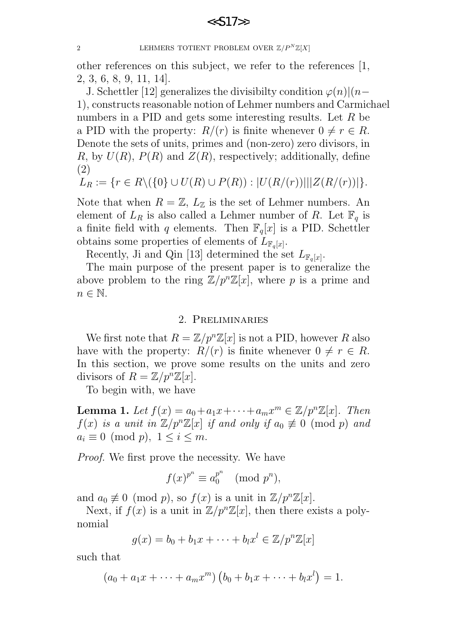2 LEHMERS TOTIENT PROBLEM OVER  $\mathbb{Z}/P^N\mathbb{Z}[X]$ 

other references on this subject, we refer to the references [1, 2, 3, 6, 8, 9, 11, 14].

J. Schettler [12] generalizes the divisibilty condition  $\varphi(n)|(n-\mathcal{E})|$ 1), constructs reasonable notion of Lehmer numbers and Carmichael numbers in a PID and gets some interesting results. Let R be a PID with the property:  $R/(r)$  is finite whenever  $0 \neq r \in R$ . Denote the sets of units, primes and (non-zero) zero divisors, in R, by  $U(R)$ ,  $P(R)$  and  $Z(R)$ , respectively; additionally, define (2)

$$
L_R := \{ r \in R \setminus (\{0\} \cup U(R) \cup P(R)) : |U(R/(r))| ||Z(R/(r))| \}.
$$

Note that when  $R = \mathbb{Z}, L_{\mathbb{Z}}$  is the set of Lehmer numbers. An element of  $L_R$  is also called a Lehmer number of R. Let  $\mathbb{F}_q$  is a finite field with q elements. Then  $\mathbb{F}_q[x]$  is a PID. Schettler obtains some properties of elements of  $L_{\mathbb{F}_q[x]}$ .

Recently, Ji and Qin [13] determined the set  $L_{\mathbb{F}_q[x]}$ .

The main purpose of the present paper is to generalize the above problem to the ring  $\mathbb{Z}/p^n\mathbb{Z}[x]$ , where p is a prime and  $n \in \mathbb{N}$ .

### 2. Preliminaries

We first note that  $R = \mathbb{Z}/p^n\mathbb{Z}[x]$  is not a PID, however R also have with the property:  $R/(r)$  is finite whenever  $0 \neq r \in R$ . In this section, we prove some results on the units and zero divisors of  $R = \mathbb{Z}/p^n\mathbb{Z}[x]$ .

To begin with, we have

**Lemma 1.** Let  $f(x) = a_0 + a_1x + \cdots + a_mx^m \in \mathbb{Z}/p^n\mathbb{Z}[x]$ . Then  $f(x)$  is a unit in  $\mathbb{Z}/p^n\mathbb{Z}[x]$  if and only if  $a_0 \not\equiv 0 \pmod{p}$  and  $a_i \equiv 0 \pmod{p}, \ 1 \leq i \leq m.$ 

Proof. We first prove the necessity. We have

$$
f(x)^{p^n} \equiv a_0^{p^n} \pmod{p^n},
$$

and  $a_0 \not\equiv 0 \pmod{p}$ , so  $f(x)$  is a unit in  $\mathbb{Z}/p^n\mathbb{Z}[x]$ .

Next, if  $f(x)$  is a unit in  $\mathbb{Z}/p^n\mathbb{Z}[x]$ , then there exists a polynomial

$$
g(x) = b_0 + b_1 x + \dots + b_l x^l \in \mathbb{Z}/p^n \mathbb{Z}[x]
$$

such that

$$
(a_0 + a_1x + \cdots + a_mx^m) (b_0 + b_1x + \cdots + b_lx^l) = 1.
$$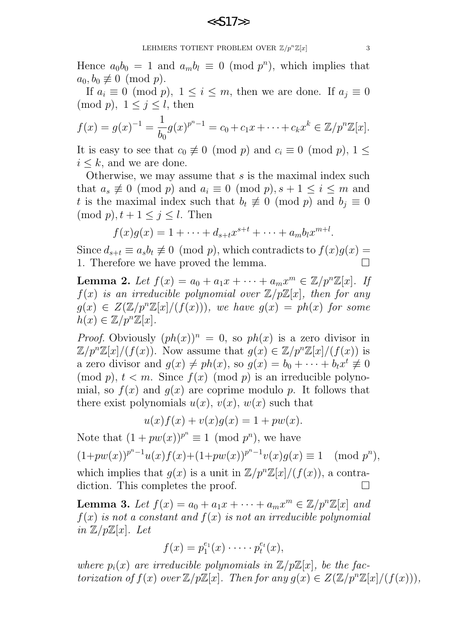Hence  $a_0b_0 = 1$  and  $a_mb_l \equiv 0 \pmod{p^n}$ , which implies that  $a_0, b_0 \not\equiv 0 \pmod{p}$ .

If  $a_i \equiv 0 \pmod{p}$ ,  $1 \leq i \leq m$ , then we are done. If  $a_i \equiv 0$  $\pmod{p}$ ,  $1 \leq j \leq l$ , then

$$
f(x) = g(x)^{-1} = \frac{1}{b_0} g(x)^{p^n - 1} = c_0 + c_1 x + \dots + c_k x^k \in \mathbb{Z}/p^n \mathbb{Z}[x].
$$

It is easy to see that  $c_0 \not\equiv 0 \pmod{p}$  and  $c_i \equiv 0 \pmod{p}$ ,  $1 \leq$  $i \leq k$ , and we are done.

Otherwise, we may assume that s is the maximal index such that  $a_s \not\equiv 0 \pmod{p}$  and  $a_i \equiv 0 \pmod{p}$ ,  $s + 1 \le i \le m$  and t is the maximal index such that  $b_t \not\equiv 0 \pmod{p}$  and  $b_j \equiv 0$  $(\text{mod } p), t+1 \leq j \leq l.$  Then

$$
f(x)g(x) = 1 + \dots + d_{s+t}x^{s+t} + \dots + a_mb_lx^{m+l}.
$$

Since  $d_{s+t} \equiv a_s b_t \not\equiv 0 \pmod{p}$ , which contradicts to  $f(x)g(x) =$ 1. Therefore we have proved the lemma.

Lemma 2. Let  $f(x) = a_0 + a_1x + \cdots + a_mx^m \in \mathbb{Z}/p^n\mathbb{Z}[x]$ . If  $f(x)$  is an irreducible polynomial over  $\mathbb{Z}/p\mathbb{Z}[x]$ , then for any  $g(x) \in Z(\mathbb{Z}/p^n\mathbb{Z}[x]/(f(x)))$ , we have  $g(x) = ph(x)$  for some  $h(x) \in \mathbb{Z}/p^n\mathbb{Z}[x].$ 

*Proof.* Obviously  $(ph(x))^n = 0$ , so  $ph(x)$  is a zero divisor in  $\mathbb{Z}/p^n\mathbb{Z}[x]/(f(x))$ . Now assume that  $g(x) \in \mathbb{Z}/p^n\mathbb{Z}[x]/(f(x))$  is a zero divisor and  $g(x) \neq ph(x)$ , so  $g(x) = b_0 + \cdots + b_t x^t \neq 0$  $p(n)$ ,  $t < m$ . Since  $f(x)$  (mod p) is an irreducible polynomial, so  $f(x)$  and  $g(x)$  are coprime modulo p. It follows that there exist polynomials  $u(x)$ ,  $v(x)$ ,  $w(x)$  such that

$$
u(x)f(x) + v(x)g(x) = 1 + pw(x).
$$

Note that  $(1 + pw(x))^{p^n} \equiv 1 \pmod{p^n}$ , we have  $(1+pw(x))^{p^n-1}u(x)f(x)+(1+pw(x))^{p^n-1}v(x)g(x) \equiv 1 \pmod{p^n},$ 

which implies that  $g(x)$  is a unit in  $\mathbb{Z}/p^n\mathbb{Z}[x]/(f(x))$ , a contradiction. This completes the proof.  $\hfill \square$ 

**Lemma 3.** Let  $f(x) = a_0 + a_1x + \cdots + a_mx^m \in \mathbb{Z}/p^n\mathbb{Z}[x]$  and  $f(x)$  is not a constant and  $f(x)$  is not an irreducible polynomial in  $\mathbb{Z}/p\mathbb{Z}[x]$ . Let

$$
f(x) = p_1^{e_1}(x) \cdot \cdots \cdot p_t^{e_t}(x),
$$

where  $p_i(x)$  are irreducible polynomials in  $\mathbb{Z}/p\mathbb{Z}[x]$ , be the factorization of  $f(x)$  over  $\mathbb{Z}/p\mathbb{Z}[x]$ . Then for any  $g(x) \in Z(\mathbb{Z}/p^n\mathbb{Z}[x]/(f(x)))$ ,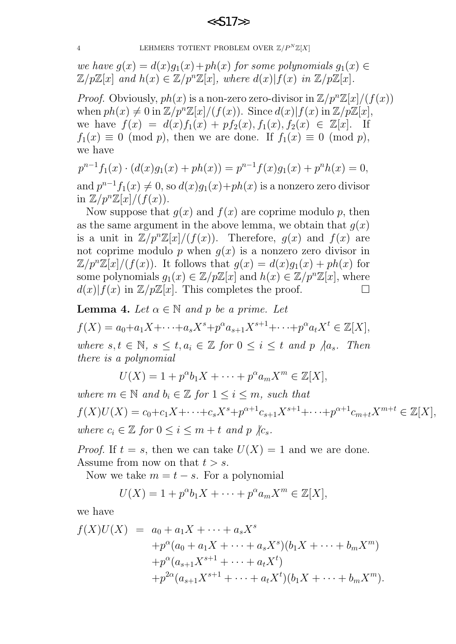4 LEHMERS TOTIENT PROBLEM OVER  $\mathbb{Z}/P^N\mathbb{Z}[X]$ 

we have  $g(x) = d(x)g_1(x) + ph(x)$  for some polynomials  $g_1(x) \in$  $\mathbb{Z}/p\mathbb{Z}[x]$  and  $h(x) \in \mathbb{Z}/p^n\mathbb{Z}[x]$ , where  $d(x)|f(x)$  in  $\mathbb{Z}/p\mathbb{Z}[x]$ .

*Proof.* Obviously,  $ph(x)$  is a non-zero zero-divisor in  $\mathbb{Z}/p^n\mathbb{Z}[x]/(f(x))$ when  $ph(x) \neq 0$  in  $\mathbb{Z}/p^n\mathbb{Z}[x]/(f(x))$ . Since  $d(x)|f(x)$  in  $\mathbb{Z}/p\mathbb{Z}[x]$ , we have  $f(x) = d(x)f_1(x) + pf_2(x), f_1(x), f_2(x) \in \mathbb{Z}[x]$ . If  $f_1(x) \equiv 0 \pmod{p}$ , then we are done. If  $f_1(x) \equiv 0 \pmod{p}$ , we have

$$
p^{n-1}f_1(x) \cdot (d(x)g_1(x) + ph(x)) = p^{n-1}f(x)g_1(x) + p^n h(x) = 0,
$$

and  $p^{n-1}f_1(x) \neq 0$ , so  $d(x)g_1(x)+ph(x)$  is a nonzero zero divisor in  $\mathbb{Z}/p^n\mathbb{Z}[x]/(f(x)).$ 

Now suppose that  $g(x)$  and  $f(x)$  are coprime modulo p, then as the same argument in the above lemma, we obtain that  $q(x)$ is a unit in  $\mathbb{Z}/p^n\mathbb{Z}[x]/(f(x))$ . Therefore,  $q(x)$  and  $f(x)$  are not coprime modulo p when  $q(x)$  is a nonzero zero divisor in  $\mathbb{Z}/p^n\mathbb{Z}[x]/(f(x))$ . It follows that  $g(x) = d(x)g_1(x) + ph(x)$  for some polynomials  $g_1(x) \in \mathbb{Z}/p\mathbb{Z}[x]$  and  $h(x) \in \mathbb{Z}/p^n\mathbb{Z}[x]$ , where  $d(x)|f(x)$  in  $\mathbb{Z}/p\mathbb{Z}[x]$ . This completes the proof.

**Lemma 4.** Let  $\alpha \in \mathbb{N}$  and p be a prime. Let  $f(X) = a_0 + a_1 X + \cdots + a_s X^s + p^{\alpha} a_{s+1} X^{s+1} + \cdots + p^{\alpha} a_t X^t \in \mathbb{Z}[X],$ where  $s, t \in \mathbb{N}, s \leq t, a_i \in \mathbb{Z}$  for  $0 \leq i \leq t$  and p  $\big/ a_s$ . Then there is a polynomial

$$
U(X) = 1 + p^{\alpha}b_1X + \dots + p^{\alpha}a_mX^m \in \mathbb{Z}[X],
$$

where  $m \in \mathbb{N}$  and  $b_i \in \mathbb{Z}$  for  $1 \leq i \leq m$ , such that  $f(X)U(X) = c_0 + c_1X + \cdots + c_sX^s + p^{\alpha+1}c_{s+1}X^{s+1} + \cdots + p^{\alpha+1}c_{m+t}X^{m+t} \in \mathbb{Z}[X],$ where  $c_i \in \mathbb{Z}$  for  $0 \leq i \leq m+t$  and p  $\chi_{c_s}$ .

*Proof.* If  $t = s$ , then we can take  $U(X) = 1$  and we are done. Assume from now on that  $t > s$ .

Now we take  $m = t - s$ . For a polynomial

$$
U(X) = 1 + p^{\alpha}b_1X + \dots + p^{\alpha}a_mX^m \in \mathbb{Z}[X],
$$

we have

$$
f(X)U(X) = a_0 + a_1X + \dots + a_sX^s
$$
  
+ $p^{\alpha}(a_0 + a_1X + \dots + a_sX^s)(b_1X + \dots + b_mX^m)$   
+ $p^{\alpha}(a_{s+1}X^{s+1} + \dots + a_tX^t)$   
+ $p^{2\alpha}(a_{s+1}X^{s+1} + \dots + a_tX^t)(b_1X + \dots + b_mX^m).$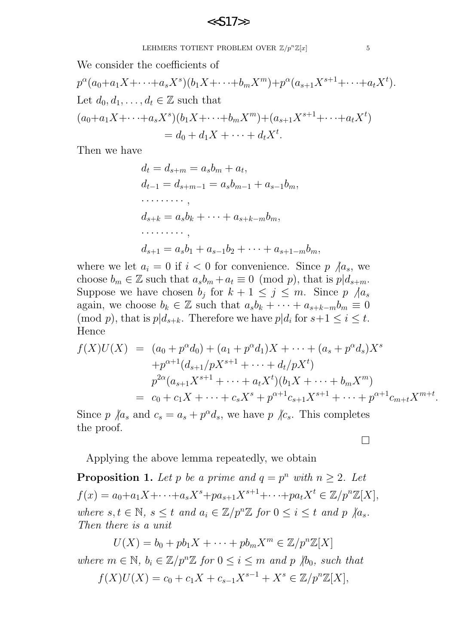LEHMERS TOTIENT PROBLEM OVER  $\mathbb{Z}/p^n\mathbb{Z}[x]$  5

We consider the coefficients of

$$
p^{\alpha}(a_0 + a_1 X + \dots + a_s X^s)(b_1 X + \dots + b_m X^m) + p^{\alpha}(a_{s+1} X^{s+1} + \dots + a_t X^t).
$$
  
Let  $d_0, d_1, \dots, d_t \in \mathbb{Z}$  such that  

$$
(a_0 + a_1 X + \dots + a_s X^s)(b_1 X + \dots + b_m X^m) + (a_{s+1} X^{s+1} + \dots + a_t X^t)
$$

$$
= d_0 + d_1 X + \dots + d_t X^t.
$$

Then we have

$$
d_t = d_{s+m} = a_s b_m + a_t,
$$
  
\n
$$
d_{t-1} = d_{s+m-1} = a_s b_{m-1} + a_{s-1} b_m,
$$
  
\n
$$
\dots \dots \dots,
$$
  
\n
$$
d_{s+k} = a_s b_k + \dots + a_{s+k-m} b_m,
$$
  
\n
$$
\dots \dots \dots,
$$
  
\n
$$
d_{s+1} = a_s b_1 + a_{s-1} b_2 + \dots + a_{s+1-m} b_m,
$$

where we let  $a_i = 0$  if  $i < 0$  for convenience. Since  $p \nmid a_s$ , we choose  $b_m \in \mathbb{Z}$  such that  $a_s b_m + a_t \equiv 0 \pmod{p}$ , that is  $p|d_{s+m}$ . Suppose we have chosen  $b_j$  for  $k + 1 \leq j \leq m$ . Since  $p \nvert / a_s$ again, we choose  $b_k \in \mathbb{Z}$  such that  $a_s b_k + \cdots + a_{s+k-m} b_m \equiv 0$ (mod p), that is  $p|d_{s+k}$ . Therefore we have  $p|d_i$  for  $s+1 \leq i \leq t$ . Hence

$$
f(X)U(X) = (a_0 + p^{\alpha}d_0) + (a_1 + p^{\alpha}d_1)X + \dots + (a_s + p^{\alpha}d_s)X^s
$$
  
+  $p^{\alpha+1}(d_{s+1}/pX^{s+1} + \dots + d_t/pX^t)$   
 $p^{2\alpha}(a_{s+1}X^{s+1} + \dots + a_tX^t)(b_1X + \dots + b_mX^m)$   
 $= c_0 + c_1X + \dots + c_sX^s + p^{\alpha+1}c_{s+1}X^{s+1} + \dots + p^{\alpha+1}c_{m+t}X^{m+t}.$ 

Since p  $\langle a_s \rangle$  and  $c_s = a_s + p^{\alpha} d_s$ , we have p  $\langle c_s \rangle$ . This completes the proof.

Applying the above lemma repeatedly, we obtain

**Proposition 1.** Let p be a prime and  $q = p^n$  with  $n \geq 2$ . Let  $f(x) = a_0 + a_1 X + \cdots + a_s X^s + pa_{s+1} X^{s+1} + \cdots + pa_t X^t \in \mathbb{Z}/p^n \mathbb{Z}[X],$ where  $s, t \in \mathbb{N}, s \leq t$  and  $a_i \in \mathbb{Z}/p^n\mathbb{Z}$  for  $0 \leq i \leq t$  and  $p \nmid a_s$ . Then there is a unit

 $U(X) = b_0 + pb_1X + \cdots + pb_mX^m \in \mathbb{Z}/p^n\mathbb{Z}[X]$ where  $m \in \mathbb{N}$ ,  $b_i \in \mathbb{Z}/p^n\mathbb{Z}$  for  $0 \leq i \leq m$  and p  $\not|b_0$ , such that  $f(X)U(X) = c_0 + c_1X + c_{s-1}X^{s-1} + X^s \in \mathbb{Z}/p^n\mathbb{Z}[X],$ 

 $\Box$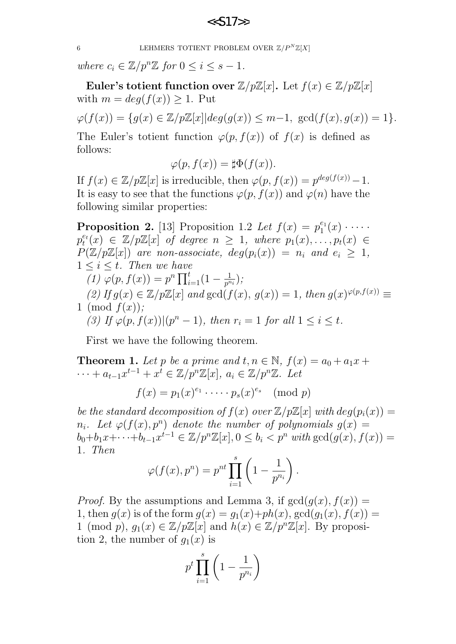6 LEHMERS TOTIENT PROBLEM OVER  $\mathbb{Z}/P^N\mathbb{Z}[X]$ 

where  $c_i \in \mathbb{Z}/p^n\mathbb{Z}$  for  $0 \leq i \leq s-1$ .

Euler's totient function over  $\mathbb{Z}/p\mathbb{Z}[x]$ . Let  $f(x) \in \mathbb{Z}/p\mathbb{Z}[x]$ with  $m = deg(f(x)) \geq 1$ . Put

 $\varphi(f(x)) = \{q(x) \in \mathbb{Z}/p\mathbb{Z}[x] | deg(q(x)) \leq m-1, gcd(f(x), q(x)) = 1\}.$ 

The Euler's totient function  $\varphi(p, f(x))$  of  $f(x)$  is defined as follows:

$$
\varphi(p, f(x)) = \sharp \Phi(f(x)).
$$

If  $f(x) \in \mathbb{Z}/p\mathbb{Z}[x]$  is irreducible, then  $\varphi(p, f(x)) = p^{\deg(f(x))} - 1$ . It is easy to see that the functions  $\varphi(p, f(x))$  and  $\varphi(n)$  have the following similar properties:

**Proposition 2.** [13] Proposition 1.2 Let  $f(x) = p_1^{e_1}$  $\binom{e_1}{1}(x) \cdot \cdots \cdot$  $p_t^{e_t}$  $t^{\epsilon_t}(x) \in \mathbb{Z}/p\mathbb{Z}[x]$  of degree  $n \geq 1$ , where  $p_1(x), \ldots, p_t(x) \in$  $P(\mathbb{Z}/p\mathbb{Z}[x])$  are non-associate,  $deg(p_i(x)) = n_i$  and  $e_i \geq 1$ ,  $1 \leq i \leq t$ . Then we have  $\overline{(1)}\ \overline{\varphi}(p, f(x)) = p^n \prod_{i=1}^t (1 - \frac{1}{p^n})$  $\frac{1}{p^{n_i}}\big);$ (2) If  $g(x) \in \mathbb{Z}/p\mathbb{Z}[x]$  and  $gcd(f(x), g(x)) = 1$ , then  $g(x)^{\varphi(p,f(x))} \equiv$ 1 (mod  $f(x)$ ); (3) If  $\varphi(p, f(x))|(p^n - 1)$ , then  $r_i = 1$  for all  $1 \leq i \leq t$ .

First we have the following theorem.

**Theorem 1.** Let p be a prime and  $t, n \in \mathbb{N}$ ,  $f(x) = a_0 + a_1x +$  $\cdots + a_{t-1}x^{t-1} + x^{\overline{t}} \in \mathbb{Z}/p^n\mathbb{Z}[x], a_i \in \mathbb{Z}/p^n\mathbb{Z}.$  Let  $f(x) = p_1(x)^{e_1} \cdot \dots \cdot p_s(x)^{e_s} \pmod{p}$ 

be the standard decomposition of  $f(x)$  over  $\mathbb{Z}/p\mathbb{Z}[x]$  with  $deg(p_i(x)) =$  $n_i$ . Let  $\varphi(f(x), p^n)$  denote the number of polynomials  $g(x) =$  $b_0 + b_1 x + \cdots + b_{t-1} x^{t-1} \in \mathbb{Z}/p^n \mathbb{Z}[x], 0 \leq b_i < p^n \text{ with } \gcd(g(x), f(x)) =$ 1. Then

$$
\varphi(f(x), p^n) = p^{nt} \prod_{i=1}^s \left(1 - \frac{1}{p^{n_i}}\right).
$$

*Proof.* By the assumptions and Lemma 3, if  $gcd(q(x), f(x)) =$ 1, then  $q(x)$  is of the form  $q(x) = q_1(x)+ph(x)$ ,  $gcd(q_1(x), f(x)) =$ 1 (mod p),  $g_1(x) \in \mathbb{Z}/p\mathbb{Z}[x]$  and  $h(x) \in \mathbb{Z}/p^n\mathbb{Z}[x]$ . By proposition 2, the number of  $g_1(x)$  is

$$
p^t \prod_{i=1}^s \left(1-\frac{1}{p^{n_i}}\right)
$$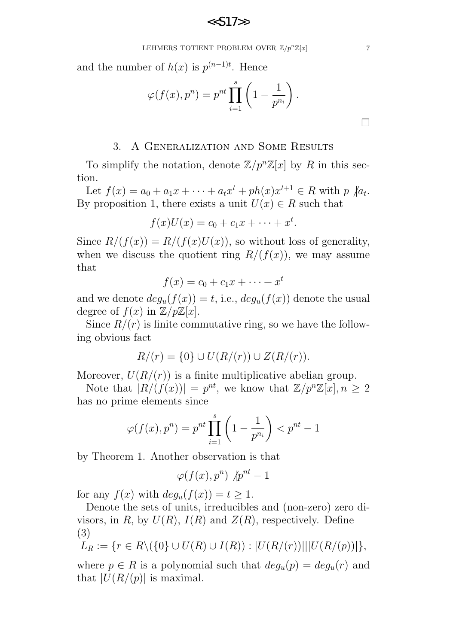LEHMERS TOTIENT PROBLEM OVER  $\mathbb{Z}/p^n\mathbb{Z}[x]$  7

and the number of  $h(x)$  is  $p^{(n-1)t}$ . Hence

$$
\varphi(f(x), p^n) = p^{nt} \prod_{i=1}^s \left(1 - \frac{1}{p^{n_i}}\right).
$$

### 3. A Generalization and Some Results

To simplify the notation, denote  $\mathbb{Z}/p^n\mathbb{Z}[x]$  by R in this section.

Let  $f(x) = a_0 + a_1x + \cdots + a_tx^t + ph(x)x^{t+1} \in R$  with  $p \nmid a_t$ . By proposition 1, there exists a unit  $U(x) \in R$  such that

$$
f(x)U(x) = c_0 + c_1x + \cdots + x^t.
$$

Since  $R/(f(x)) = R/(f(x)U(x))$ , so without loss of generality, when we discuss the quotient ring  $R/(f(x))$ , we may assume that

$$
f(x) = c_0 + c_1 x + \dots + x^t
$$

and we denote  $deg_u(f(x)) = t$ , i.e.,  $deg_u(f(x))$  denote the usual degree of  $f(x)$  in  $\mathbb{Z}/p\mathbb{Z}[x]$ .

Since  $R/(r)$  is finite commutative ring, so we have the following obvious fact

$$
R/(r) = \{0\} \cup U(R/(r)) \cup Z(R/(r)).
$$

Moreover,  $U(R/(r))$  is a finite multiplicative abelian group.

Note that  $|R/(f(x))|=p^{nt}$ , we know that  $\mathbb{Z}/p^{n}\mathbb{Z}[x], n \geq 2$ has no prime elements since

$$
\varphi(f(x), p^n) = p^{nt} \prod_{i=1}^{s} \left(1 - \frac{1}{p^{n_i}}\right) < p^{nt} - 1
$$

by Theorem 1. Another observation is that

$$
\varphi(f(x), p^n) \not| p^{nt} - 1
$$

for any  $f(x)$  with  $deg_u(f(x)) = t \geq 1$ .

Denote the sets of units, irreducibles and (non-zero) zero divisors, in R, by  $U(R)$ ,  $I(R)$  and  $Z(R)$ , respectively. Define (3)

$$
L_R := \{ r \in R \setminus (\{0\} \cup U(R) \cup I(R)) : |U(R/(r))| ||U(R/(p))| \},
$$

where  $p \in R$  is a polynomial such that  $deg_u(p) = deg_u(r)$  and that  $|U(R/(p))|$  is maximal.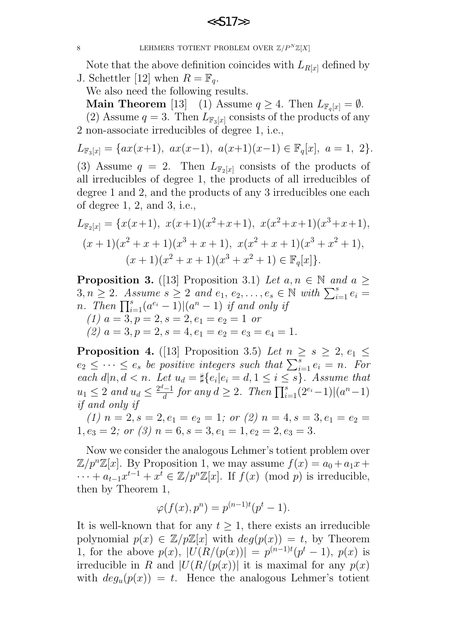8 LEHMERS TOTIENT PROBLEM OVER  $\mathbb{Z}/P^N\mathbb{Z}[X]$ 

Note that the above definition coincides with  $L_{R[x]}$  defined by J. Schettler [12] when  $R = \mathbb{F}_q$ .

We also need the following results.

**Main Theorem** [13] (1) Assume  $q \geq 4$ . Then  $L_{\mathbb{F}_q}[x] = \emptyset$ .

(2) Assume  $q = 3$ . Then  $L_{\mathbb{F}_3[x]}$  consists of the products of any 2 non-associate irreducibles of degree 1, i.e.,

$$
L_{\mathbb{F}_3[x]} = \{ax(x+1), \ ax(x-1), \ a(x+1)(x-1) \in \mathbb{F}_q[x], \ a = 1, \ 2\}.
$$

(3) Assume  $q = 2$ . Then  $L_{\mathbb{F}_2}[x]$  consists of the products of all irreducibles of degree 1, the products of all irreducibles of degree 1 and 2, and the products of any 3 irreducibles one each of degree 1, 2, and 3, i.e.,

$$
L_{\mathbb{F}_2[x]} = \{x(x+1), x(x+1)(x^2+x+1), x(x^2+x+1)(x^3+x+1),
$$
  
\n
$$
(x+1)(x^2+x+1)(x^3+x+1), x(x^2+x+1)(x^3+x^2+1),
$$
  
\n
$$
(x+1)(x^2+x+1)(x^3+x^2+1) \in \mathbb{F}_q[x].
$$

**Proposition 3.** ([13] Proposition 3.1) Let  $a, n \in \mathbb{N}$  and  $a >$  $3, n \geq 2$ . Assume  $s \geq 2$  and  $e_1, e_2, \ldots, e_s \in \mathbb{N}$  with  $\sum_{i=1}^s e_i =$ n. Then  $\prod_{i=1}^s (a^{e_i}-1) |(a^n-1)$  if and only if (1)  $a = 3, p = 2, s = 2, e_1 = e_2 = 1$  or (2)  $a = 3, p = 2, s = 4, e_1 = e_2 = e_3 = e_4 = 1.$ 

**Proposition 4.** ([13] Proposition 3.5) Let  $n \geq s \geq 2$ ,  $e_1 \leq$  $e_2 \leq \cdots \leq e_s$  be positive integers such that  $\sum_{i=1}^s e_i = n$ . For each  $d|n, d < n$ . Let  $u_d = \sharp\{e_i | e_i = d, 1 \leq i \leq s\}$ . Assume that  $u_1 \leq 2$  and  $u_d \leq \frac{2^d-1}{d}$  $\frac{d^{l-1}}{d}$  for any  $d \geq 2$ . Then  $\prod_{i=1}^{s} (2^{e_i} - 1) |(a^n - 1)|$ if and only if

(1)  $n = 2$ ,  $s = 2$ ,  $e_1 = e_2 = 1$ ; or (2)  $n = 4$ ,  $s = 3$ ,  $e_1 = e_2 =$  $1, e_3 = 2$ ; or (3)  $n = 6, s = 3, e_1 = 1, e_2 = 2, e_3 = 3$ .

Now we consider the analogous Lehmer's totient problem over  $\mathbb{Z}/p^n\mathbb{Z}[x]$ . By Proposition 1, we may assume  $f(x) = a_0 + a_1x +$  $\cdots + a_{t-1}x^{t-1} + x^t \in \mathbb{Z}/p^n\mathbb{Z}[x]$ . If  $f(x) \pmod{p}$  is irreducible, then by Theorem 1,

$$
\varphi(f(x),p^n) = p^{(n-1)t}(p^t - 1).
$$

It is well-known that for any  $t \geq 1$ , there exists an irreducible polynomial  $p(x) \in \mathbb{Z}/p\mathbb{Z}[x]$  with  $deg(p(x)) = t$ , by Theorem 1, for the above  $p(x)$ ,  $|U(R/(p(x))| = p^{(n-1)t}(p^t - 1)$ ,  $p(x)$  is irreducible in R and  $|U(R/(p(x))|)$  it is maximal for any  $p(x)$ with  $deg_u(p(x)) = t$ . Hence the analogous Lehmer's totient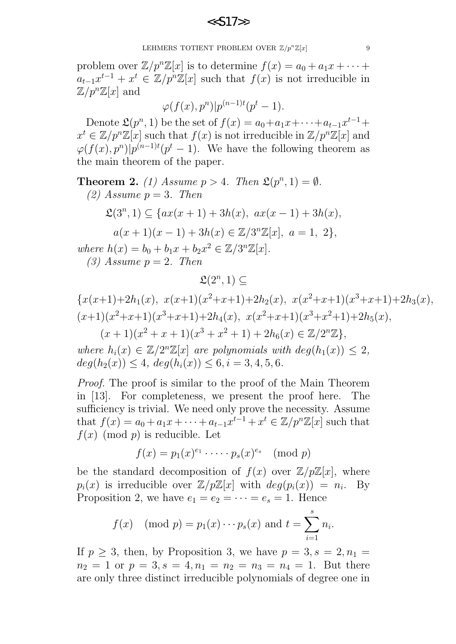LEHMERS TOTIENT PROBLEM OVER  $\mathbb{Z}/p^n\mathbb{Z}[x]$  9

problem over  $\mathbb{Z}/p^n\mathbb{Z}[x]$  is to determine  $f(x) = a_0 + a_1x + \cdots$  $a_{t-1}x^{t-1} + x^t \in \mathbb{Z}/p^n\mathbb{Z}[x]$  such that  $f(x)$  is not irreducible in  $\mathbb{Z}/p^n\mathbb{Z}[x]$  and

$$
\varphi(f(x),p^n)|p^{(n-1)t}(p^t-1).
$$

Denote  $\mathfrak{L}(p^n,1)$  be the set of  $f(x) = a_0 + a_1x + \cdots + a_{t-1}x^{t-1} +$  $x^t \in \mathbb{Z}/p^n\mathbb{Z}[x]$  such that  $f(x)$  is not irreducible in  $\mathbb{Z}/p^n\mathbb{Z}[x]$  and  $\varphi(f(x), p^n)|p^{(n-1)t}(p^t-1)$ . We have the following theorem as the main theorem of the paper.

**Theorem 2.** (1) Assume  $p > 4$ . Then  $\mathfrak{L}(p^n, 1) = \emptyset$ . (2) Assume  $p = 3$ . Then  $\mathfrak{L}(3^n,1) \subseteq \{ax(x+1)+3h(x), ax(x-1)+3h(x),$  $a(x+1)(x-1) + 3h(x) \in \mathbb{Z}/3^{n}\mathbb{Z}[x], a = 1, 2\},\$ where  $h(x) = b_0 + b_1 x + b_2 x^2 \in \mathbb{Z}/3^n \mathbb{Z}[x]$ . (3) Assume  $p = 2$ . Then

$$
\mathfrak{L}(2^n,1)\subseteq
$$

$$
\{x(x+1)+2h_1(x), x(x+1)(x^2+x+1)+2h_2(x), x(x^2+x+1)(x^3+x+1)+2h_3(x),
$$
  
\n
$$
(x+1)(x^2+x+1)(x^3+x+1)+2h_4(x), x(x^2+x+1)(x^3+x^2+1)+2h_5(x),
$$
  
\n
$$
(x+1)(x^2+x+1)(x^3+x^2+1)+2h_6(x) \in \mathbb{Z}/2^n\mathbb{Z}\},
$$

where  $h_i(x) \in \mathbb{Z}/2^n\mathbb{Z}[x]$  are polynomials with  $deg(h_1(x)) \leq 2$ ,  $deg(h_2(x)) \leq 4, deg(h_i(x)) \leq 6, i = 3, 4, 5, 6.$ 

Proof. The proof is similar to the proof of the Main Theorem in [13]. For completeness, we present the proof here. The sufficiency is trivial. We need only prove the necessity. Assume that  $f(x) = a_0 + a_1x + \cdots + a_{t-1}x^{t-1} + x^t \in \mathbb{Z}/p^n\mathbb{Z}[x]$  such that  $f(x)$  (mod p) is reducible. Let

$$
f(x) = p_1(x)^{e_1} \cdot \dots \cdot p_s(x)^{e_s} \pmod{p}
$$

be the standard decomposition of  $f(x)$  over  $\mathbb{Z}/p\mathbb{Z}[x]$ , where  $p_i(x)$  is irreducible over  $\mathbb{Z}/p\mathbb{Z}[x]$  with  $deg(p_i(x)) = n_i$ . By Proposition 2, we have  $e_1 = e_2 = \cdots = e_s = 1$ . Hence

$$
f(x)
$$
 (mod  $p$ ) =  $p_1(x) \cdots p_s(x)$  and  $t = \sum_{i=1}^{s} n_i$ .

If  $p \geq 3$ , then, by Proposition 3, we have  $p = 3, s = 2, n_1 =$  $n_2 = 1$  or  $p = 3$ ,  $s = 4$ ,  $n_1 = n_2 = n_3 = n_4 = 1$ . But there are only three distinct irreducible polynomials of degree one in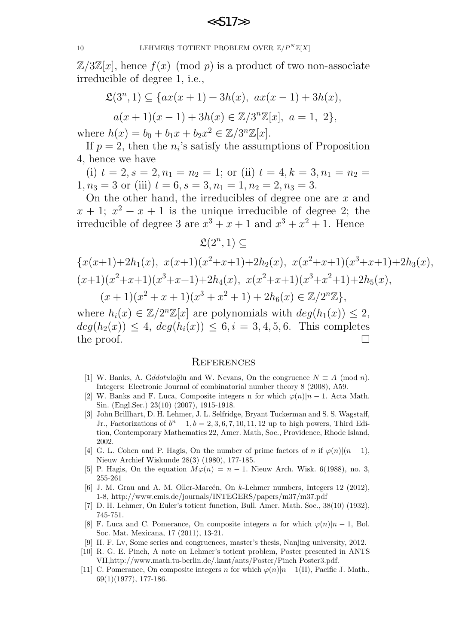10 LEHMERS TOTIENT PROBLEM OVER  $\mathbb{Z}/P^N\mathbb{Z}[X]$ 

 $\mathbb{Z}/3\mathbb{Z}[x]$ , hence  $f(x)$  (mod p) is a product of two non-associate irreducible of degree 1, i.e.,

$$
\mathfrak{L}(3^n, 1) \subseteq \{ax(x+1) + 3h(x), ax(x-1) + 3h(x),
$$
  

$$
a(x+1)(x-1) + 3h(x) \in \mathbb{Z}/3^n\mathbb{Z}[x], a = 1, 2\},\
$$

where  $h(x) = b_0 + b_1 x + b_2 x^2 \in \mathbb{Z}/3^n \mathbb{Z}[x]$ .

If  $p = 2$ , then the  $n_i$ 's satisfy the assumptions of Proposition 4, hence we have

(i)  $t = 2, s = 2, n_1 = n_2 = 1$ ; or (ii)  $t = 4, k = 3, n_1 = n_2 =$  $1, n_3 = 3$  or (iii)  $t = 6, s = 3, n_1 = 1, n_2 = 2, n_3 = 3.$ 

On the other hand, the irreducibles of degree one are  $x$  and  $x + 1$ ;  $x^2 + x + 1$  is the unique irreducible of degree 2; the irreducible of degree 3 are  $x^3 + x + 1$  and  $x^3 + x^2 + 1$ . Hence

 $\mathfrak{L}(2^n,1)\subseteq$ 

$$
\{x(x+1)+2h_1(x), x(x+1)(x^2+x+1)+2h_2(x), x(x^2+x+1)(x^3+x+1)+2h_3(x),
$$
  
\n
$$
(x+1)(x^2+x+1)(x^3+x+1)+2h_4(x), x(x^2+x+1)(x^3+x^2+1)+2h_5(x),
$$
  
\n
$$
(x+1)(x^2+x+1)(x^3+x^2+1)+2h_6(x) \in \mathbb{Z}/2^n\mathbb{Z}\},
$$

where  $h_i(x) \in \mathbb{Z}/2^n\mathbb{Z}[x]$  are polynomials with  $deg(h_1(x)) \leq 2$ ,  $deg(h_2(x)) \leq 4, deg(h_i(x)) \leq 6, i = 3, 4, 5, 6.$  This completes the proof.  $\Box$ 

#### **REFERENCES**

- [1] W. Banks, A. Gddotuloğlu and W. Nevans, On the congruence  $N \equiv A \pmod{n}$ . Integers: Electronic Journal of combinatorial number theory 8 (2008), A59.
- [2] W. Banks and F. Luca, Composite integers n for which  $\varphi(n)|n-1$ . Acta Math. Sin. (Engl.Ser.) 23(10) (2007), 1915-1918.
- [3] John Brillhart, D. H. Lehmer, J. L. Selfridge, Bryant Tuckerman and S. S. Wagstaff, Jr., Factorizations of  $b<sup>n</sup> - 1$ ,  $b = 2, 3, 6, 7, 10, 11, 12$  up to high powers, Third Edition, Contemporary Mathematics 22, Amer. Math, Soc., Providence, Rhode Island, 2002.
- [4] G. L. Cohen and P. Hagis, On the number of prime factors of n if  $\varphi(n)(n-1)$ , Nieuw Archief Wiskunde 28(3) (1980), 177-185.
- [5] P. Hagis, On the equation  $M\varphi(n) = n 1$ . Nieuw Arch. Wisk. 6(1988), no. 3, 255-261
- [6] J. M. Grau and A. M. Oller-Marcén, On  $k$ -Lehmer numbers, Integers 12 (2012), 1-8, http://www.emis.de/journals/INTEGERS/papers/m37/m37.pdf
- [7] D. H. Lehmer, On Euler's totient function, Bull. Amer. Math. Soc., 38(10) (1932), 745-751.
- [8] F. Luca and C. Pomerance, On composite integers n for which  $\varphi(n)|n-1$ , Bol. Soc. Mat. Mexicana, 17 (2011), 13-21.
- [9] H. F. Lv, Some series and congruences, master's thesis, Nanjing university, 2012.
- [10] R. G. E. Pinch, A note on Lehmer's totient problem, Poster presented in ANTS VII,http://www.math.tu-berlin.de/.kant/ants/Poster/Pinch Poster3.pdf.
- [11] C. Pomerance, On composite integers n for which  $\varphi(n)|n-1(II)$ , Pacific J. Math., 69(1)(1977), 177-186.